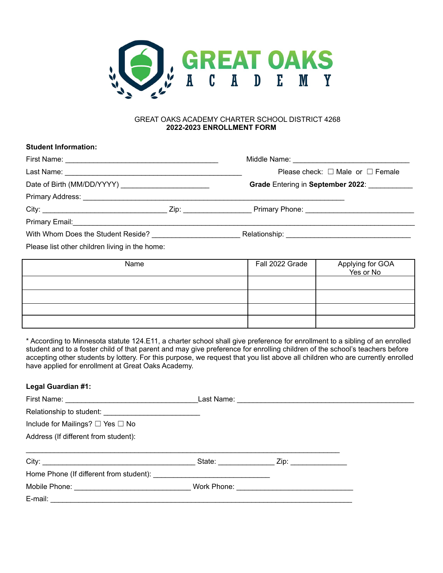

#### GREAT OAKS ACADEMY CHARTER SCHOOL DISTRICT 4268 **2022-2023 ENROLLMENT FORM**

# **Student Information:** First Name: \_\_\_\_\_\_\_\_\_\_\_\_\_\_\_\_\_\_\_\_\_\_\_\_\_\_\_\_\_\_\_\_\_\_\_\_\_\_ Middle Name: \_\_\_\_\_\_\_\_\_\_\_\_\_\_\_\_\_\_\_\_\_\_\_\_\_\_\_\_\_ Last Name: \_\_\_\_\_\_\_\_\_\_\_\_\_\_\_\_\_\_\_\_\_\_\_\_\_\_\_\_\_\_\_\_\_\_\_\_\_\_\_\_\_\_\_\_ Please check: ☐ Male or ☐ Female Date of Birth (MM/DD/YYYY) \_\_\_\_\_\_\_\_\_\_\_\_\_\_\_\_\_\_\_\_\_\_ **Grade** Entering in **September 2022**: \_\_\_\_\_\_\_\_\_\_\_ Primary Address: \_\_\_\_\_\_\_\_\_\_\_\_\_\_\_\_\_\_\_\_\_\_\_\_\_\_\_\_\_\_\_\_\_\_\_\_\_\_\_\_\_\_\_\_\_\_\_\_\_\_\_\_\_\_\_\_\_\_\_\_\_\_\_\_\_ City: \_\_\_\_\_\_\_\_\_\_\_\_\_\_\_\_\_\_\_\_\_\_\_\_\_\_\_\_\_\_\_ Zip: \_\_\_\_\_\_\_\_\_\_\_\_\_\_\_\_\_ Primary Phone: \_\_\_\_\_\_\_\_\_\_\_\_\_\_\_\_\_\_\_\_\_\_\_\_\_\_\_ Primary Email:\_\_\_\_\_\_\_\_\_\_\_\_\_\_\_\_\_\_\_\_\_\_\_\_\_\_\_\_\_\_\_\_\_\_\_\_\_\_\_\_\_\_\_\_\_\_\_\_\_\_\_\_\_\_\_\_\_\_\_\_\_\_\_\_\_\_\_\_\_\_\_\_\_\_\_\_\_\_\_\_\_\_\_\_\_ With Whom Does the Student Reside? \_\_\_\_\_\_\_\_\_\_\_\_\_\_\_\_\_\_\_\_\_\_ Relationship: \_\_\_\_\_\_\_\_\_\_\_\_\_\_\_\_\_\_\_\_\_\_\_\_\_\_\_\_\_\_\_ Please list other children living in the home:

| Name | Fall 2022 Grade | Applying for GOA<br>Yes or No |
|------|-----------------|-------------------------------|
|      |                 |                               |
|      |                 |                               |
|      |                 |                               |
|      |                 |                               |

\* According to Minnesota statute 124.E11, a charter school shall give preference for enrollment to a sibling of an enrolled student and to a foster child of that parent and may give preference for enrolling children of the school's teachers before accepting other students by lottery. For this purpose, we request that you list above all children who are currently enrolled have applied for enrollment at Great Oaks Academy.

# **Legal Guardian #1:**

| Include for Mailings? □ Yes □ No     |  |  |
|--------------------------------------|--|--|
| Address (If different from student): |  |  |
|                                      |  |  |
|                                      |  |  |
|                                      |  |  |
|                                      |  |  |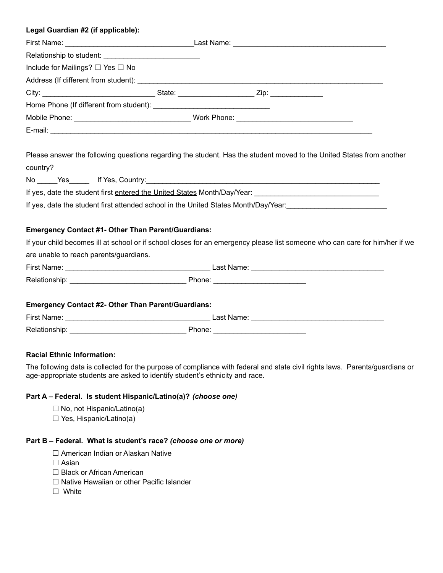| Legal Guardian #2 (if applicable): |  |  |
|------------------------------------|--|--|
|                                    |  |  |
|                                    |  |  |
| Include for Mailings? □ Yes □ No   |  |  |
|                                    |  |  |
|                                    |  |  |
|                                    |  |  |
|                                    |  |  |
|                                    |  |  |

Please answer the following questions regarding the student. Has the student moved to the United States from another country?

No Yes If Yes, Country:

If yes, date the student first entered the United States Month/Day/Year:

If yes, date the student first attended school in the United States Month/Day/Year:

# **Emergency Contact #1- Other Than Parent/Guardians:**

If your child becomes ill at school or if school closes for an emergency please list someone who can care for him/her if we are unable to reach parents/guardians.

| First Name:        | ∟ast Name <sup>.</sup> |
|--------------------|------------------------|
| Relat<br>™uonsnid. | Phone.                 |

# **Emergency Contact #2- Other Than Parent/Guardians:**

| First Name:   | ∟ast Name: |
|---------------|------------|
| Relationship: | Phone:     |

# **Racial Ethnic Information:**

The following data is collected for the purpose of compliance with federal and state civil rights laws. Parents/guardians or age-appropriate students are asked to identify student's ethnicity and race.

# **Part A – Federal. Is student Hispanic/Latino(a)?** *(choose one)*

- $\Box$  No, not Hispanic/Latino(a)
- □ Yes, Hispanic/Latino(a)

# **Part B – Federal. What is student's race?** *(choose one or more)*

- □ American Indian or Alaskan Native
- □ Asian
- ☐ Black or African American
- ☐ Native Hawaiian or other Pacific Islander
- ☐ White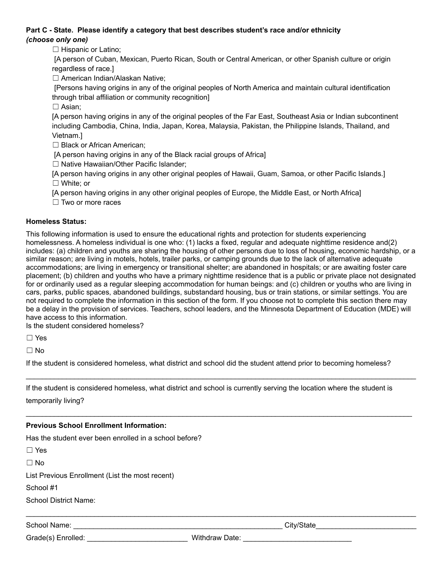# **Part C - State. Please identify a category that best describes student's race and/or ethnicity** *(choose only one)*

□ Hispanic or Latino:

[A person of Cuban, Mexican, Puerto Rican, South or Central American, or other Spanish culture or origin regardless of race.]

☐ American Indian/Alaskan Native;

[Persons having origins in any of the original peoples of North America and maintain cultural identification through tribal affiliation or community recognition]

□ Asian;

[A person having origins in any of the original peoples of the Far East, Southeast Asia or Indian subcontinent including Cambodia, China, India, Japan, Korea, Malaysia, Pakistan, the Philippine Islands, Thailand, and Vietnam.]

□ Black or African American:

[A person having origins in any of the Black racial groups of Africa]

□ Native Hawaiian/Other Pacific Islander;

[A person having origins in any other original peoples of Hawaii, Guam, Samoa, or other Pacific Islands.] ☐ White; or

[A person having origins in any other original peoples of Europe, the Middle East, or North Africa]

□ Two or more races

# **Homeless Status:**

This following information is used to ensure the educational rights and protection for students experiencing homelessness. A homeless individual is one who: (1) lacks a fixed, regular and adequate nighttime residence and(2) includes: (a) children and youths are sharing the housing of other persons due to loss of housing, economic hardship, or a similar reason; are living in motels, hotels, trailer parks, or camping grounds due to the lack of alternative adequate accommodations; are living in emergency or transitional shelter; are abandoned in hospitals; or are awaiting foster care placement; (b) children and youths who have a primary nighttime residence that is a public or private place not designated for or ordinarily used as a regular sleeping accommodation for human beings: and (c) children or youths who are living in cars, parks, public spaces, abandoned buildings, substandard housing, bus or train stations, or similar settings. You are not required to complete the information in this section of the form. If you choose not to complete this section there may be a delay in the provision of services. Teachers, school leaders, and the Minnesota Department of Education (MDE) will have access to this information.

Is the student considered homeless?

☐ Yes

☐ No

If the student is considered homeless, what district and school did the student attend prior to becoming homeless?

 $\_$  ,  $\_$  ,  $\_$  ,  $\_$  ,  $\_$  ,  $\_$  ,  $\_$  ,  $\_$  ,  $\_$  ,  $\_$  ,  $\_$  ,  $\_$  ,  $\_$  ,  $\_$  ,  $\_$  ,  $\_$  ,  $\_$  ,  $\_$  ,  $\_$  ,  $\_$  ,  $\_$  ,  $\_$  ,  $\_$  ,  $\_$  ,  $\_$  ,  $\_$  ,  $\_$  ,  $\_$  ,  $\_$  ,  $\_$  ,  $\_$  ,  $\_$  ,  $\_$  ,  $\_$  ,  $\_$  ,  $\_$  ,  $\_$  ,

\_\_\_\_\_\_\_\_\_\_\_\_\_\_\_\_\_\_\_\_\_\_\_\_\_\_\_\_\_\_\_\_\_\_\_\_\_\_\_\_\_\_\_\_\_\_\_\_\_\_\_\_\_\_\_\_\_\_\_\_\_\_\_\_\_\_\_\_\_\_\_\_\_\_\_\_\_\_\_\_\_\_\_\_\_\_\_\_\_\_\_\_\_\_\_\_

If the student is considered homeless, what district and school is currently serving the location where the student is temporarily living?

# **Previous School Enrollment Information:**

Has the student ever been enrolled in a school before?

☐ Yes

☐ No

List Previous Enrollment (List the most recent)

School #1

School District Name:

School Name: \_\_\_\_\_\_\_\_\_\_\_\_\_\_\_\_\_\_\_\_\_\_\_\_\_\_\_\_\_\_\_\_\_\_\_\_\_\_\_\_\_\_\_\_\_\_\_\_\_\_\_\_ City/State\_\_\_\_\_\_\_\_\_\_\_\_\_\_\_\_\_\_\_\_\_\_\_\_\_

Grade(s) Enrolled: entitled: entitled: withdraw Date:

 $\_$  ,  $\_$  ,  $\_$  ,  $\_$  ,  $\_$  ,  $\_$  ,  $\_$  ,  $\_$  ,  $\_$  ,  $\_$  ,  $\_$  ,  $\_$  ,  $\_$  ,  $\_$  ,  $\_$  ,  $\_$  ,  $\_$  ,  $\_$  ,  $\_$  ,  $\_$  ,  $\_$  ,  $\_$  ,  $\_$  ,  $\_$  ,  $\_$  ,  $\_$  ,  $\_$  ,  $\_$  ,  $\_$  ,  $\_$  ,  $\_$  ,  $\_$  ,  $\_$  ,  $\_$  ,  $\_$  ,  $\_$  ,  $\_$  ,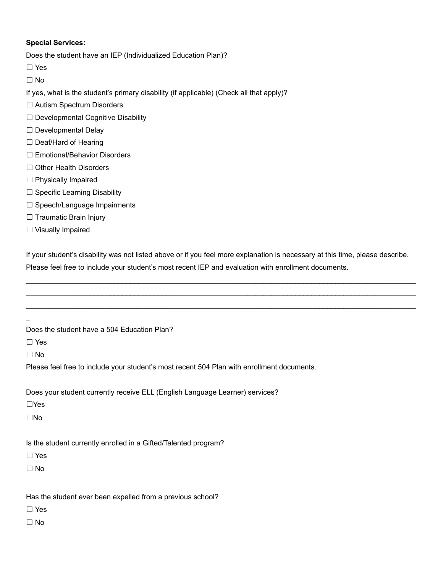# **Special Services:**

Does the student have an IEP (Individualized Education Plan)?

- ☐ Yes
- ☐ No

If yes, what is the student's primary disability (if applicable) (Check all that apply)?

- ☐ Autism Spectrum Disorders
- □ Developmental Cognitive Disability
- ☐ Developmental Delay
- □ Deaf/Hard of Hearing
- □ Emotional/Behavior Disorders
- □ Other Health Disorders
- ☐ Physically Impaired
- ☐ Specific Learning Disability
- □ Speech/Language Impairments
- □ Traumatic Brain Injury
- ☐ Visually Impaired

If your student's disability was not listed above or if you feel more explanation is necessary at this time, please describe. Please feel free to include your student's most recent IEP and evaluation with enrollment documents.

 $\_$  ,  $\_$  ,  $\_$  ,  $\_$  ,  $\_$  ,  $\_$  ,  $\_$  ,  $\_$  ,  $\_$  ,  $\_$  ,  $\_$  ,  $\_$  ,  $\_$  ,  $\_$  ,  $\_$  ,  $\_$  ,  $\_$  ,  $\_$  ,  $\_$  ,  $\_$  ,  $\_$  ,  $\_$  ,  $\_$  ,  $\_$  ,  $\_$  ,  $\_$  ,  $\_$  ,  $\_$  ,  $\_$  ,  $\_$  ,  $\_$  ,  $\_$  ,  $\_$  ,  $\_$  ,  $\_$  ,  $\_$  ,  $\_$  ,  $\_$  ,  $\_$  ,  $\_$  ,  $\_$  ,  $\_$  ,  $\_$  ,  $\_$  ,  $\_$  ,  $\_$  ,  $\_$  ,  $\_$  ,  $\_$  ,  $\_$  ,  $\_$  ,  $\_$  ,  $\_$  ,  $\_$  ,  $\_$  ,  $\_$  ,  $\_$  ,  $\_$  ,  $\_$  ,  $\_$  ,  $\_$  ,  $\_$  ,  $\_$  ,  $\_$  ,  $\_$  ,  $\_$  ,  $\_$  ,  $\_$  ,  $\_$  ,  $\_$  ,  $\_$  ,  $\_$  ,  $\_$  ,  $\_$  ,  $\_$  ,  $\_$  ,  $\_$  ,  $\_$  ,  $\_$  ,  $\_$  ,  $\_$  ,  $\_$  ,  $\_$  ,  $\_$  ,  $\_$  ,  $\_$  ,  $\_$  ,  $\_$  ,  $\_$  ,  $\_$  ,  $\_$  ,  $\_$  ,  $\_$  ,  $\_$  ,  $\_$  ,  $\_$  ,  $\_$  ,  $\_$  ,  $\_$  ,  $\_$  ,  $\_$  ,  $\_$  ,  $\_$  ,  $\_$  ,  $\_$  ,  $\_$  ,  $\_$  ,  $\_$  ,  $\_$  ,  $\_$  ,  $\_$  ,

Does the student have a 504 Education Plan?

☐ Yes

 $\overline{a}$ 

☐ No

Please feel free to include your student's most recent 504 Plan with enrollment documents.

Does your student currently receive ELL (English Language Learner) services?

☐Yes

☐No

Is the student currently enrolled in a Gifted/Talented program?

☐ Yes

☐ No

Has the student ever been expelled from a previous school?

☐ Yes

☐ No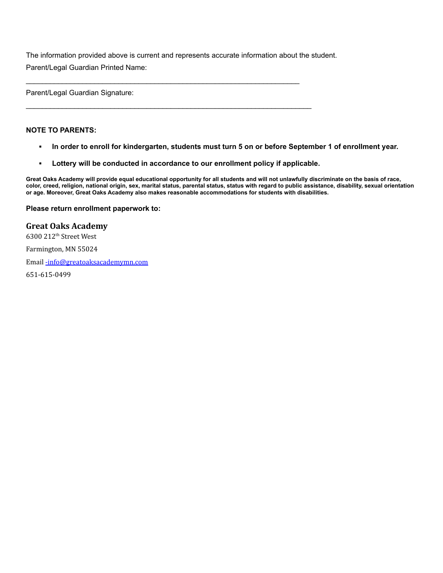The information provided above is current and represents accurate information about the student. Parent/Legal Guardian Printed Name:

 $\_$  ,  $\_$  ,  $\_$  ,  $\_$  ,  $\_$  ,  $\_$  ,  $\_$  ,  $\_$  ,  $\_$  ,  $\_$  ,  $\_$  ,  $\_$  ,  $\_$  ,  $\_$  ,  $\_$  ,  $\_$  ,  $\_$  ,  $\_$  ,  $\_$  ,  $\_$ 

 $\mathcal{L}_\mathcal{L} = \{ \mathcal{L}_\mathcal{L} = \{ \mathcal{L}_\mathcal{L} = \{ \mathcal{L}_\mathcal{L} = \{ \mathcal{L}_\mathcal{L} = \{ \mathcal{L}_\mathcal{L} = \{ \mathcal{L}_\mathcal{L} = \{ \mathcal{L}_\mathcal{L} = \{ \mathcal{L}_\mathcal{L} = \{ \mathcal{L}_\mathcal{L} = \{ \mathcal{L}_\mathcal{L} = \{ \mathcal{L}_\mathcal{L} = \{ \mathcal{L}_\mathcal{L} = \{ \mathcal{L}_\mathcal{L} = \{ \mathcal{L}_\mathcal{$ 

Parent/Legal Guardian Signature:

#### **NOTE TO PARENTS:**

- . In order to enroll for kindergarten, students must turn 5 on or before September 1 of enrollment year.
- **▪ Lottery will be conducted in accordance to our enrollment policy if applicable.**

Great Oaks Academy will provide equal educational opportunity for all students and will not unlawfully discriminate on the basis of race, color, creed, religion, national origin, sex, marital status, parental status, status with regard to public assistance, disability, sexual orientation **or age. Moreover, Great Oaks Academy also makes reasonable accommodations for students with disabilities.**

#### **Please return enrollment paperwork to:**

# **Great Oaks Academy**

6300 212<sup>th</sup> Street West

Farmington, MN 55024

Email [-info@greatoaksacademymn.com](mailto:-info@greatoaksacademymn.com)

651-615-0499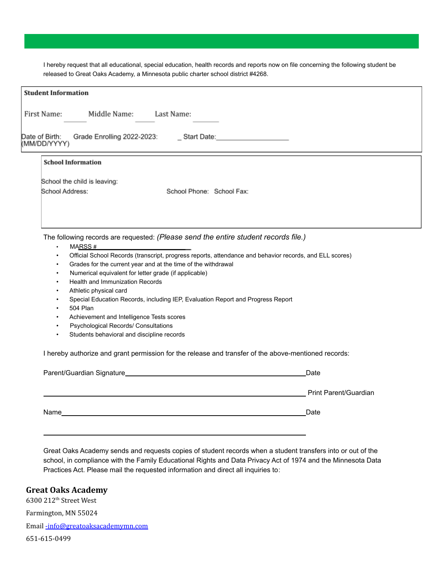I hereby request that all educational, special education, health records and reports now on file concerning the following student be released to Great Oaks Academy, a Minnesota public charter school district #4268.

| First Name:<br>Middle Name:                                                                          | Last Name:                                                                                                            |                         |                                                                                                         |  |
|------------------------------------------------------------------------------------------------------|-----------------------------------------------------------------------------------------------------------------------|-------------------------|---------------------------------------------------------------------------------------------------------|--|
| Date of Birth:<br>(MM/DD/YYYY)<br>Grade Enrolling 2022-2023:                                         |                                                                                                                       | Start Date: Start Date: |                                                                                                         |  |
| <b>School Information</b>                                                                            |                                                                                                                       |                         |                                                                                                         |  |
| School the child is leaving:                                                                         |                                                                                                                       |                         |                                                                                                         |  |
| School Address:                                                                                      | School Phone: School Fax:                                                                                             |                         |                                                                                                         |  |
|                                                                                                      |                                                                                                                       |                         |                                                                                                         |  |
|                                                                                                      |                                                                                                                       |                         |                                                                                                         |  |
|                                                                                                      |                                                                                                                       |                         |                                                                                                         |  |
| The following records are requested: (Please send the entire student records file.)                  |                                                                                                                       |                         |                                                                                                         |  |
| MARSS #<br>$\bullet$                                                                                 |                                                                                                                       |                         |                                                                                                         |  |
|                                                                                                      |                                                                                                                       |                         |                                                                                                         |  |
| $\bullet$<br>$\bullet$                                                                               |                                                                                                                       |                         | Official School Records (transcript, progress reports, attendance and behavior records, and ELL scores) |  |
| Grades for the current year and at the time of the withdrawal<br>$\bullet$                           |                                                                                                                       |                         |                                                                                                         |  |
| Numerical equivalent for letter grade (if applicable)<br>$\bullet$                                   |                                                                                                                       |                         |                                                                                                         |  |
| Health and Immunization Records<br>$\bullet$                                                         |                                                                                                                       |                         |                                                                                                         |  |
| Athletic physical card                                                                               |                                                                                                                       |                         |                                                                                                         |  |
| Special Education Records, including IEP, Evaluation Report and Progress Report                      |                                                                                                                       |                         |                                                                                                         |  |
| 504 Plan<br>Achievement and Intelligence Tests scores<br>$\bullet$                                   |                                                                                                                       |                         |                                                                                                         |  |
| Psychological Records/ Consultations<br>$\bullet$                                                    |                                                                                                                       |                         |                                                                                                         |  |
| Students behavioral and discipline records<br>$\bullet$                                              |                                                                                                                       |                         |                                                                                                         |  |
| I hereby authorize and grant permission for the release and transfer of the above-mentioned records: |                                                                                                                       |                         |                                                                                                         |  |
|                                                                                                      |                                                                                                                       |                         | Date                                                                                                    |  |
|                                                                                                      |                                                                                                                       |                         | Print Parent/Guardian                                                                                   |  |
| Name                                                                                                 | <u> 1989 - Johann Harry Harry Harry Harry Harry Harry Harry Harry Harry Harry Harry Harry Harry Harry Harry Harry</u> |                         | Date                                                                                                    |  |

Great Oaks Academy sends and requests copies of student records when a student transfers into or out of the school, in compliance with the Family Educational Rights and Data Privacy Act of 1974 and the Minnesota Data Practices Act. Please mail the requested information and direct all inquiries to:

# **Great Oaks Academy**

6300 212 th Street West Farmington, MN 55024 Email [-info@greatoaksacademymn.com](mailto:-info@greatoaksacademymn.com) 651-615-0499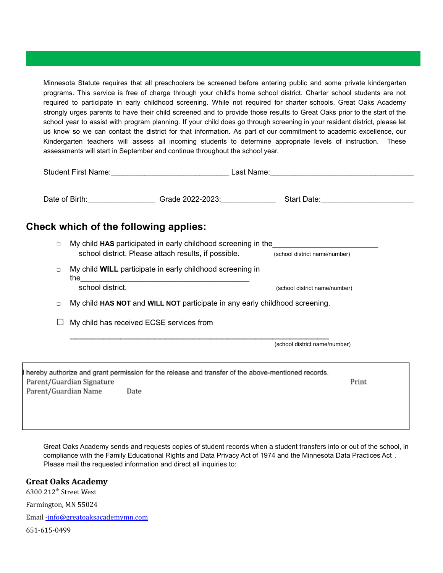Minnesota Statute requires that all preschoolers be screened before entering public and some private kindergarten programs. This service is free of charge through your child's home school district. Charter school students are not required to participate in early childhood screening. While not required for charter schools, Great Oaks Academy strongly urges parents to have their child screened and to provide those results to Great Oaks prior to the start of the school year to assist with program planning. If your child does go through screening in your resident district, please let us know so we can contact the district for that information. As part of our commitment to academic excellence, our Kindergarten teachers will assess all incoming students to determine appropriate levels of instruction. These assessments will start in September and continue throughout the school year.

|                      | Check which of the following applies:                                                                                                                                                                                                                                                                    |                               |  |
|----------------------|----------------------------------------------------------------------------------------------------------------------------------------------------------------------------------------------------------------------------------------------------------------------------------------------------------|-------------------------------|--|
| $\Box$               | My child HAS participated in early childhood screening in the<br>school district. Please attach results, if possible. (school district name/number)                                                                                                                                                      |                               |  |
| $\Box$               | My child <b>WILL</b> participate in early childhood screening in<br>the <u>second and the second and the second second and the second second second second second second second second second second second second second second second second second second second second second second second seco</u> |                               |  |
|                      | school district.                                                                                                                                                                                                                                                                                         | (school district name/number) |  |
| $\Box$               | My child HAS NOT and WILL NOT participate in any early childhood screening.                                                                                                                                                                                                                              |                               |  |
| $\Box$               | My child has received ECSE services from                                                                                                                                                                                                                                                                 |                               |  |
|                      |                                                                                                                                                                                                                                                                                                          | (school district name/number) |  |
| Parent/Guardian Name | hereby authorize and grant permission for the release and transfer of the above-mentioned records.<br>Parent/Guardian Signature<br>Date                                                                                                                                                                  | Print                         |  |
|                      |                                                                                                                                                                                                                                                                                                          |                               |  |

Great Oaks Academy sends and requests copies of student records when a student transfers into or out of the school, in compliance with the Family Educational Rights and Data Privacy Act of 1974 and the Minnesota Data Practices Act . Please mail the requested information and direct all inquiries to:

# **Great Oaks Academy**

6300 212 th Street West

Farmington, MN 55024

Email [-info@greatoaksacademymn.com](mailto:-info@greatoaksacademymn.com)

651-615-0499

h P  $\overline{P}$